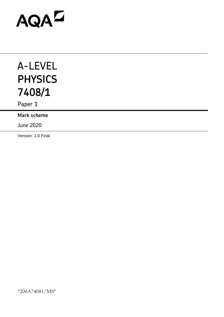# AQAD

## A-LEVEL **PHYSICS 7408/1**

Paper 1

**Mark scheme**

June 2020

Version: 1.0 Final

\*206A74081/MS\*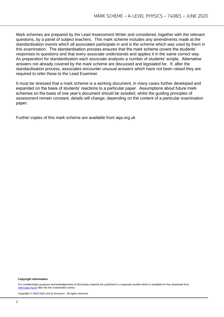Mark schemes are prepared by the Lead Assessment Writer and considered, together with the relevant questions, by a panel of subject teachers. This mark scheme includes any amendments made at the standardisation events which all associates participate in and is the scheme which was used by them in this examination. The standardisation process ensures that the mark scheme covers the students' responses to questions and that every associate understands and applies it in the same correct way. As preparation for standardisation each associate analyses a number of students' scripts. Alternative answers not already covered by the mark scheme are discussed and legislated for. If, after the standardisation process, associates encounter unusual answers which have not been raised they are required to refer these to the Lead Examiner.

It must be stressed that a mark scheme is a working document, in many cases further developed and expanded on the basis of students' reactions to a particular paper. Assumptions about future mark schemes on the basis of one year's document should be avoided; whilst the guiding principles of assessment remain constant, details will change, depending on the content of a particular examination paper.

Further copies of this mark scheme are available from aqa.org.uk

#### **Copyright information**

For confidentiality purposes acknowledgements of third-party material are published in a separate booklet which is available for free download from [www.aqa.org.uk](http://www.aqa.org.uk/) after the live examination series.

Copyright © 2020 AQA and its licensors. All rights reserved.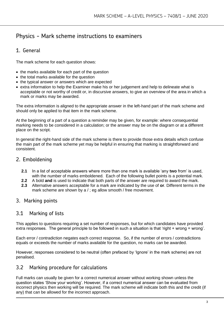### Physics - Mark scheme instructions to examiners

#### 1. General

The mark scheme for each question shows:

- the marks available for each part of the question
- the total marks available for the question
- the typical answer or answers which are expected
- extra information to help the Examiner make his or her judgement and help to delineate what is acceptable or not worthy of credit or, in discursive answers, to give an overview of the area in which a mark or marks may be awarded.

The extra information is aligned to the appropriate answer in the left-hand part of the mark scheme and should only be applied to that item in the mark scheme.

At the beginning of a part of a question a reminder may be given, for example: where consequential marking needs to be considered in a calculation; or the answer may be on the diagram or at a different place on the script.

In general the right-hand side of the mark scheme is there to provide those extra details which confuse the main part of the mark scheme yet may be helpful in ensuring that marking is straightforward and consistent.

#### 2. Emboldening

- **2.1** In a list of acceptable answers where more than one mark is available 'any **two** from' is used, with the number of marks emboldened. Each of the following bullet points is a potential mark.
- **2.2** A bold **and** is used to indicate that both parts of the answer are required to award the mark.
- **2.3** Alternative answers acceptable for a mark are indicated by the use of **or**. Different terms in the mark scheme are shown by a / ; eg allow smooth / free movement.

#### 3. Marking points

#### 3.1 Marking of lists

This applies to questions requiring a set number of responses, but for which candidates have provided extra responses. The general principle to be followed in such a situation is that 'right + wrong = wrong'.

Each error / contradiction negates each correct response. So, if the number of errors / contradictions equals or exceeds the number of marks available for the question, no marks can be awarded.

However, responses considered to be neutral (often prefaced by 'Ignore' in the mark scheme) are not penalised.

#### 3.2 Marking procedure for calculations

Full marks can usually be given for a correct numerical answer without working shown unless the question states 'Show your working'. However, if a correct numerical answer can be evaluated from incorrect physics then working will be required. The mark scheme will indicate both this and the credit (if any) that can be allowed for the incorrect approach.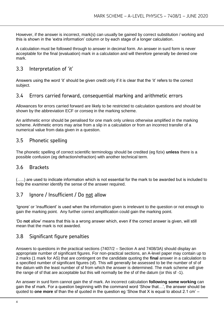However, if the answer is incorrect, mark(s) can usually be gained by correct substitution / working and this is shown in the 'extra information' column or by each stage of a longer calculation.

A calculation must be followed through to answer in decimal form. An answer in surd form is never acceptable for the final (evaluation) mark in a calculation and will therefore generally be denied one mark.

#### 3.3 Interpretation of 'it'

Answers using the word 'it' should be given credit only if it is clear that the 'it' refers to the correct subject.

#### 3.4 Errors carried forward, consequential marking and arithmetic errors

Allowances for errors carried forward are likely to be restricted to calculation questions and should be shown by the abbreviation ECF or *conseq* in the marking scheme.

An arithmetic error should be penalised for one mark only unless otherwise amplified in the marking scheme. Arithmetic errors may arise from a slip in a calculation or from an incorrect transfer of a numerical value from data given in a question.

#### 3.5 Phonetic spelling

The phonetic spelling of correct scientific terminology should be credited (eg fizix) **unless** there is a possible confusion (eg defraction/refraction) with another technical term.

#### 3.6 Brackets

(…..) are used to indicate information which is not essential for the mark to be awarded but is included to help the examiner identify the sense of the answer required.

#### 3.7 Ignore / Insufficient / Do not allow

'Ignore' or 'insufficient' is used when the information given is irrelevant to the question or not enough to gain the marking point. Any further correct amplification could gain the marking point.

'Do **not** allow' means that this is a wrong answer which, even if the correct answer is given, will still mean that the mark is not awarded.

#### 3.8 Significant figure penalties

Answers to questions in the practical sections (7407/2 – Section A and 7408/3A) should display an appropriate number of significant figures. For non-practical sections, an A-level paper may contain up to 2 marks (1 mark for AS) that are contingent on the candidate quoting the **final** answer in a calculation to a specified number of significant figures (sf). This will generally be assessed to be the number of sf of the datum with the least number of sf from which the answer is determined. The mark scheme will give the range of sf that are acceptable but this will normally be the sf of the datum (or this sf -1).

An answer in surd form cannot gain the sf mark. An incorrect calculation **following some working** can gain the sf mark. For a question beginning with the command word 'Show that…', the answer should be quoted to **one more** sf than the sf quoted in the question eg 'Show that X is equal to about 2.1 cm' –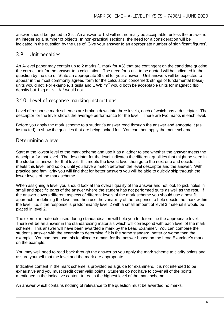answer should be quoted to 3 sf. An answer to 1 sf will not normally be acceptable, unless the answer is an integer eg a number of objects. In non-practical sections, the need for a consideration will be indicated in the question by the use of 'Give your answer to an appropriate number of significant figures'.

#### 3.9 Unit penalties

An A-level paper may contain up to 2 marks (1 mark for AS) that are contingent on the candidate quoting the correct unit for the answer to a calculation. The need for a unit to be quoted will be indicated in the question by the use of 'State an appropriate SI unit for your answer'. Unit answers will be expected to appear in the most commonly agreed form for the calculation concerned; strings of fundamental (base) units would not. For example, 1 tesla and 1 Wb  $m^{-2}$  would both be acceptable units for magnetic flux density but 1 kg m<sup>2</sup> s<sup>-2</sup> A<sup>-1</sup> would not.

#### 3.10 Level of response marking instructions

Level of response mark schemes are broken down into three levels, each of which has a descriptor. The descriptor for the level shows the average performance for the level. There are two marks in each level.

Before you apply the mark scheme to a student's answer read through the answer and annotate it (as instructed) to show the qualities that are being looked for. You can then apply the mark scheme.

#### Determining a level

Start at the lowest level of the mark scheme and use it as a ladder to see whether the answer meets the descriptor for that level. The descriptor for the level indicates the different qualities that might be seen in the student's answer for that level. If it meets the lowest level then go to the next one and decide if it meets this level, and so on, until you have a match between the level descriptor and the answer. With practice and familiarity you will find that for better answers you will be able to quickly skip through the lower levels of the mark scheme.

When assigning a level you should look at the overall quality of the answer and not look to pick holes in small and specific parts of the answer where the student has not performed quite as well as the rest. If the answer covers different aspects of different levels of the mark scheme you should use a best fit approach for defining the level and then use the variability of the response to help decide the mark within the level. i.e. if the response is predominantly level 2 with a small amount of level 3 material it would be placed in level 2.

The exemplar materials used during standardisation will help you to determine the appropriate level. There will be an answer in the standardising materials which will correspond with each level of the mark scheme. This answer will have been awarded a mark by the Lead Examiner. You can compare the student's answer with the example to determine if it is the same standard, better or worse than the example. You can then use this to allocate a mark for the answer based on the Lead Examiner's mark on the example.

You may well need to read back through the answer as you apply the mark scheme to clarify points and assure yourself that the level and the mark are appropriate.

Indicative content in the mark scheme is provided as a guide for examiners. It is not intended to be exhaustive and you must credit other valid points. Students do not have to cover all of the points mentioned in the indicative content to reach the highest level of the mark scheme.

An answer which contains nothing of relevance to the question must be awarded no marks.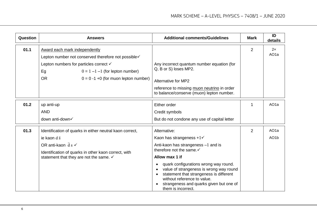| Question | <b>Answers</b>                                                                                                                                                                                                                                | <b>Additional comments/Guidelines</b>                                                                                                                                                                                       | <b>Mark</b>    | ID<br>details           |
|----------|-----------------------------------------------------------------------------------------------------------------------------------------------------------------------------------------------------------------------------------------------|-----------------------------------------------------------------------------------------------------------------------------------------------------------------------------------------------------------------------------|----------------|-------------------------|
| 01.1     | Award each mark independently<br>Lepton number not conserved therefore not possible√<br>Lepton numbers for particles correct $\checkmark$<br>Eg<br>$0 = 1 -1 -1$ (for lepton number)<br><b>OR</b><br>$0 = 0 - 1 + 0$ (for muon lepton number) | Any incorrect quantum number equation (for<br>Q, B or S) loses MP2.<br><b>Alternative for MP2</b><br>reference to missing muon neutrino in order                                                                            | $\overline{2}$ | 2x<br>AO <sub>1</sub> a |
|          |                                                                                                                                                                                                                                               | to balance/conserve (muon) lepton number.                                                                                                                                                                                   |                |                         |
| 01.2     | up anti-up                                                                                                                                                                                                                                    | Either order                                                                                                                                                                                                                | 1              | AO <sub>1</sub> a       |
|          | <b>AND</b>                                                                                                                                                                                                                                    | Credit symbols                                                                                                                                                                                                              |                |                         |
|          | down anti-down√                                                                                                                                                                                                                               | But do not condone any use of capital letter                                                                                                                                                                                |                |                         |
| 01.3     | Identification of quarks in either neutral kaon correct,                                                                                                                                                                                      | Alternative:                                                                                                                                                                                                                | $\overline{2}$ | AO <sub>1</sub> a       |
|          | ie kaon d s                                                                                                                                                                                                                                   | Kaon has strangeness $+1$ $\checkmark$                                                                                                                                                                                      |                | AO <sub>1</sub> b       |
|          | OR anti-kaon $\bar{d} s$ $\checkmark$                                                                                                                                                                                                         | Anti-kaon has strangeness -1 and is                                                                                                                                                                                         |                |                         |
|          | Identification of quarks in other kaon correct, with                                                                                                                                                                                          | therefore not the same. v                                                                                                                                                                                                   |                |                         |
|          | statement that they are not the same. ✓                                                                                                                                                                                                       | Allow max 1 if                                                                                                                                                                                                              |                |                         |
|          |                                                                                                                                                                                                                                               | quark configurations wrong way round.<br>value of strangeness is wrong way round<br>statement that strangeness is different<br>without reference to value.<br>strangeness and quarks given but one of<br>them is incorrect. |                |                         |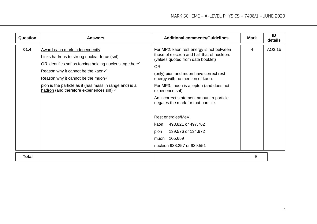| Question | <b>Answers</b>                                                                                                                                                                                                                                                                                                                                        | <b>Additional comments/Guidelines</b>                                                                                                                                                                                                                                                                                                                                                                                                                                                                      | Mark | ID<br>details |
|----------|-------------------------------------------------------------------------------------------------------------------------------------------------------------------------------------------------------------------------------------------------------------------------------------------------------------------------------------------------------|------------------------------------------------------------------------------------------------------------------------------------------------------------------------------------------------------------------------------------------------------------------------------------------------------------------------------------------------------------------------------------------------------------------------------------------------------------------------------------------------------------|------|---------------|
| 01.4     | <b>Award each mark independently</b><br>Links hadrons to strong nuclear force (snf)<br>OR identifies snf as forcing holding nucleus together√<br>Reason why it cannot be the kaon√<br>Reason why it cannot be the muon $\checkmark$<br>pion is the particle as it (has mass in range and) is a<br>hadron (and therefore experiences snf) $\checkmark$ | For MP2: kaon rest energy is not between<br>those of electron and half that of nucleon.<br>(values quoted from data booklet)<br><b>OR</b><br>(only) pion and muon have correct rest<br>energy with no mention of kaon.<br>For MP3: muon is a lepton (and does not<br>experience snf)<br>An incorrect statement amount a particle<br>negates the mark for that particle.<br>Rest energies/MeV:<br>493.821 or 497.762<br>kaon<br>139.576 or 134.972<br>pion<br>105.659<br>muon<br>nucleon 938.257 or 939.551 | 4    | AO3.1b        |
| Total    |                                                                                                                                                                                                                                                                                                                                                       |                                                                                                                                                                                                                                                                                                                                                                                                                                                                                                            | 9    |               |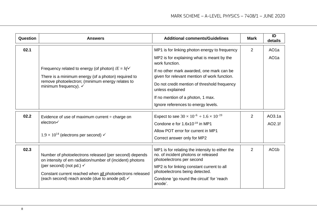| Question | <b>Answers</b>                                                                                                                                                                                                                                                           | <b>Additional comments/Guidelines</b>                                                                                                                                                                                                                                                                                                                      | <b>Mark</b> | ID<br>details                          |
|----------|--------------------------------------------------------------------------------------------------------------------------------------------------------------------------------------------------------------------------------------------------------------------------|------------------------------------------------------------------------------------------------------------------------------------------------------------------------------------------------------------------------------------------------------------------------------------------------------------------------------------------------------------|-------------|----------------------------------------|
| 02.1     | Frequency related to energy (of photon) $/E = hf\checkmark$<br>There is a minimum energy (of a photon) required to<br>remove photoelectron; (minimum energy relates to<br>minimum frequency). $\checkmark$                                                               | MP1 is for linking photon energy to frequency<br>MP2 is for explaining what is meant by the<br>work function.<br>If no other mark awarded, one mark can be<br>given for relevant mention of work function.<br>Do not credit mention of threshold frequency<br>unless explained<br>If no mention of a photon, 1 max.<br>Ignore references to energy levels. | 2           | AO <sub>1</sub> a<br>AO <sub>1</sub> a |
| 02.2     | Evidence of use of maximum current $\div$ charge on<br>electron√<br>$1.9 \times 10^{14}$ (electrons per second) $\checkmark$                                                                                                                                             | Expect to see $30 \times 10^{-6} \div 1.6 \times 10^{-19}$<br>Condone e for 1.6x10 <sup>-19</sup> in MP1<br>Allow POT error for current in MP1<br>Correct answer only for MP2                                                                                                                                                                              | 2           | AO3.1a<br>AO2.1f                       |
| 02.3     | Number of photoelectrons released (per second) depends<br>on intensity of em radiation/number of (incident) photons<br>(per second) (not pd.) $\checkmark$<br>Constant current reached when all photoelectrons released<br>(each second) reach anode (due to anode pd).√ | MP1 is for relating the intensity to either the<br>no. of incident photons or released<br>photoelectrons per second<br>MP2 is for linking constant current to all<br>photoelectrons being detected.<br>Condone 'go round the circuit' for 'reach<br>anode'.                                                                                                | 2           | AO <sub>1</sub> b                      |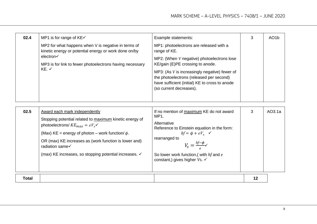| 02.4                                                                                                                                                                                                        | MP1 is for range of $KE\checkmark$                                             | Example statements:                                                                                                                                                      | З | AO <sub>1</sub> b |
|-------------------------------------------------------------------------------------------------------------------------------------------------------------------------------------------------------------|--------------------------------------------------------------------------------|--------------------------------------------------------------------------------------------------------------------------------------------------------------------------|---|-------------------|
| MP2 for what happens when V is negative in terms of<br>kinetic energy or potential energy or work done on/by<br>electron√<br>MP3 is for link to fewer photoelectrons having necessary<br>$KE.$ $\checkmark$ | MP1: photoelectrons are released with a<br>range of KE.                        |                                                                                                                                                                          |   |                   |
|                                                                                                                                                                                                             | MP2: (When V negative) photoelectrons lose<br>KE/gain (E)PE crossing to anode. |                                                                                                                                                                          |   |                   |
|                                                                                                                                                                                                             |                                                                                | MP3: (As $V$ is increasingly negative) fewer of<br>the photoelectrons (released per second)<br>have sufficient (initial) KE to cross to anode<br>(so current decreases). |   |                   |
|                                                                                                                                                                                                             |                                                                                |                                                                                                                                                                          |   |                   |

| 02.5  | Award each mark independently<br>Stopping potential related to maximum kinetic energy of<br>photoelectrons/ $KE_{max} = eV_s$<br>(Max) KE = energy of photon – work function/ $\phi$ .<br>OR (max) KE increases as (work function is lower and)<br>radiation same√ | If no mention of maximum KE do not award<br>MP1.<br>Alternative<br>Reference to Einstein equation in the form:<br>$hf = \phi + eV_s$ $\checkmark$<br>rearranged to<br>$V_{\rm s} = \frac{hf - \phi}{\sqrt{2}}$ | 3  | AO3.1a |
|-------|--------------------------------------------------------------------------------------------------------------------------------------------------------------------------------------------------------------------------------------------------------------------|----------------------------------------------------------------------------------------------------------------------------------------------------------------------------------------------------------------|----|--------|
|       | (max) KE increases, so stopping potential increases. ✓                                                                                                                                                                                                             | So lower work function, with hf and e<br>constant,) gives higher $Vs.$ $\checkmark$                                                                                                                            |    |        |
| Total |                                                                                                                                                                                                                                                                    |                                                                                                                                                                                                                | 12 |        |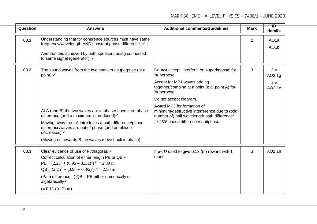| Question | <b>Answers</b>                                                                                                                                                                                                                                                                                                              | <b>Additional comments/Guidelines</b>                                                                                                                                                                                                                                                                                                                                 | <b>Mark</b>    | $\overline{1}$<br>details                    |  |
|----------|-----------------------------------------------------------------------------------------------------------------------------------------------------------------------------------------------------------------------------------------------------------------------------------------------------------------------------|-----------------------------------------------------------------------------------------------------------------------------------------------------------------------------------------------------------------------------------------------------------------------------------------------------------------------------------------------------------------------|----------------|----------------------------------------------|--|
| 03.1     | Understanding that for coherence sources must have same<br>frequency/wavelength AND constant phase difference. ✓<br>And that this achieved by both speakers being connected<br>to same signal (generator). ✓                                                                                                                |                                                                                                                                                                                                                                                                                                                                                                       | $\overline{2}$ | AO <sub>1</sub> a<br>AO <sub>1</sub> b       |  |
| 03.2     | The sound waves from the two speakers superpose (at a<br>point) $\checkmark$<br>At A (and B) the two waves are in phase/ have zero phase<br>difference (and a maximum is produced)√<br>Moving away from A introduces a path difference/phase<br>difference/waves are out of phase (and amplitude<br>decreases) $\checkmark$ | Do not accept 'interfere' or 'superimpose' for<br>'superpose'<br>Accept for MP1 waves adding<br>together/combine at a point (e.g. point A) for<br>'superpose'.<br>Do not accept diagram.<br>Award MP3 for formation of<br>minimum/destructive interference due to (odd<br>number of) half wavelength path difference/<br>$\pi/180^\circ$ phase difference/ antiphase. | 3              | $2 \times$<br>AO2.1g<br>$1 \times$<br>AO2.1c |  |
| 03.3     | (Moving on towards B the waves move back in phase)<br>Clear evidence of use of Pythagoras √                                                                                                                                                                                                                                 | If $ws/D$ used to give 0.13 (m) reward with 1                                                                                                                                                                                                                                                                                                                         | 3              | AO2.1h                                       |  |
|          | Correct calculation of either length PB or QB √<br>PB = $(2.25^2 + (0.95 - 0.3/2)^2)^{1/2} = 2.39$ m<br>$QB = (2.25^2 + (0.95 + 0.3/2)^2)^{1/2} = 2.50$ m<br>(Path difference =) QB - PB either numerically or<br>algebraically√                                                                                            | mark                                                                                                                                                                                                                                                                                                                                                                  |                |                                              |  |
|          | $(= 0.11 (0.12) m)$                                                                                                                                                                                                                                                                                                         |                                                                                                                                                                                                                                                                                                                                                                       |                |                                              |  |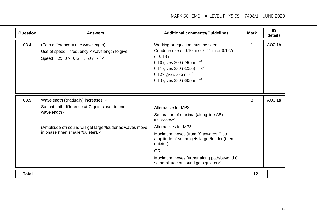| Question     | <b>Answers</b>                                                                                                                                           | <b>Additional comments/Guidelines</b>                                                                                                                                                                                                                                                       | <b>Mark</b> | ID<br>details |
|--------------|----------------------------------------------------------------------------------------------------------------------------------------------------------|---------------------------------------------------------------------------------------------------------------------------------------------------------------------------------------------------------------------------------------------------------------------------------------------|-------------|---------------|
| 03.4         | (Path difference = one wavelength)<br>Use of speed = frequency $x$ wavelength to give<br>Speed = $2960 \times 0.12 = 360$ m s <sup>-1</sup> $\checkmark$ | Working or equation must be seen.<br>Condone use of $0.10 \text{ m}$ or $0.11 \text{ m}$ or $0.127 \text{ m}$<br>or $0.13 \text{ m}$<br>0.10 gives 300 (296) m $s^{-1}$<br>0.11 gives 330 (325.6) m s <sup>-1</sup><br>0.127 gives 376 m s <sup>-1</sup><br>0.13 gives 380 (385) m $s^{-1}$ | 1           | AO2.1h        |
| 03.5         | Wavelength (gradually) increases. ✓                                                                                                                      |                                                                                                                                                                                                                                                                                             | 3           | AO3.1a        |
|              | So that path difference at C gets closer to one<br>wavelength√                                                                                           | Alternative for MP2:                                                                                                                                                                                                                                                                        |             |               |
|              |                                                                                                                                                          | Separation of maxima (along line AB)<br>increases√                                                                                                                                                                                                                                          |             |               |
|              | (Amplitude of) sound will get larger/louder as waves move<br>in phase (then smaller/quieter).√                                                           | <b>Alternatives for MP3:</b>                                                                                                                                                                                                                                                                |             |               |
|              |                                                                                                                                                          | Maximum moves (from B) towards C so<br>amplitude of sound gets larger/louder (then<br>quieter).                                                                                                                                                                                             |             |               |
|              |                                                                                                                                                          | <b>OR</b>                                                                                                                                                                                                                                                                                   |             |               |
|              |                                                                                                                                                          | Maximum moves further along path/beyond C<br>so amplitude of sound gets quieter√                                                                                                                                                                                                            |             |               |
| <b>Total</b> |                                                                                                                                                          |                                                                                                                                                                                                                                                                                             | 12          |               |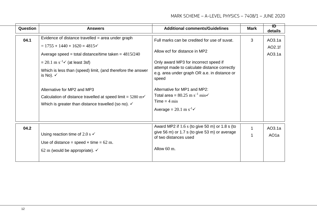| Question | <b>Answers</b>                                                                                                                                                                                                                                                                                                                                                                                                                                            | <b>Additional comments/Guidelines</b>                                                                                                                                                                                                                                                                                                                                       | <b>Mark</b> | $\overline{1}$<br>details   |
|----------|-----------------------------------------------------------------------------------------------------------------------------------------------------------------------------------------------------------------------------------------------------------------------------------------------------------------------------------------------------------------------------------------------------------------------------------------------------------|-----------------------------------------------------------------------------------------------------------------------------------------------------------------------------------------------------------------------------------------------------------------------------------------------------------------------------------------------------------------------------|-------------|-----------------------------|
| 04.1     | Evidence of distance travelled $=$ area under graph<br>$= 1755 + 1440 + 1620 = 4815$<br>Average speed = total distance/time taken = $4815/240$<br>$= 20.1 \text{ m s}^{-1}$ (at least 3sf)<br>Which is less than (speed) limit, (and therefore the answer<br>is No). $\checkmark$<br>Alternative for MP2 and MP3<br>Calculation of distance travelled at speed limit = $5280 \text{ m}$<br>Which is greater than distance travelled (so no). $\checkmark$ | Full marks can be credited for use of suvat.<br>Allow ecf for distance in MP2<br>Only award MP3 for incorrect speed if<br>attempt made to calculate distance correctly<br>e.g. area under graph OR a.e. in distance or<br>speed<br>Alternative for MP1 and MP2:<br>Total area = $80.25 \text{ m s}^{-1} \text{ min}$<br>$Time = 4 min$<br>Average = $20.1 \text{ m s}^{-1}$ | 3           | AO3.1a<br>AO2.1f<br>AO3.1a  |
| 04.2     | Using reaction time of 2.0 s $\checkmark$<br>Use of distance = speed $\times$ time = 62 m.<br>62 m (would be appropriate). $\checkmark$                                                                                                                                                                                                                                                                                                                   | Award MP2 if $1.6 s$ (to give 50 m) or 1.8 s (to<br>give 56 m) or 1.7 s (to give 53 m) or average<br>of two distances used<br>Allow 60 m.                                                                                                                                                                                                                                   | 1           | AO3.1a<br>AO <sub>1</sub> a |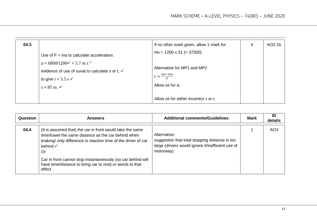| 04.3 |                                                                                                                                                                                                                     | If no other mark given, allow 1 mark for                                                                     | 4 | AO2.1b |
|------|---------------------------------------------------------------------------------------------------------------------------------------------------------------------------------------------------------------------|--------------------------------------------------------------------------------------------------------------|---|--------|
|      | Use of $F = ma$ to calculate acceleration.<br>$a = 6800/1200 \checkmark = 5.7$ m s <sup>-2</sup><br>evidence of use of suvat to calculate s or t, √<br>to give $t = 5.5$ s $\checkmark$<br>$s = 85$ m. $\checkmark$ | $mv = 1200 \times 31 (= 37200)$<br>Alternative for MP1 and MP2<br>$t = \frac{mv - mu}{2}$<br>Allow ce for a. |   |        |
|      |                                                                                                                                                                                                                     | Allow ce for either incorrect s or t.                                                                        |   |        |

| Question | <b>Answers</b>                                                                                                                                                                                                                                                                                                                                          | <b>Additional comments/Guidelines</b>                                                                                            | <b>Mark</b> | ID<br>details   |
|----------|---------------------------------------------------------------------------------------------------------------------------------------------------------------------------------------------------------------------------------------------------------------------------------------------------------------------------------------------------------|----------------------------------------------------------------------------------------------------------------------------------|-------------|-----------------|
| 04.4     | (It is assumed that) the car in front would take the same<br>time/travel the same distance as the car behind when<br>braking/only difference is reaction time of the driver of car<br>behind. $\checkmark$<br>Or<br>Car in front cannot stop instantaneously (so car behind will<br>have time/distance to bring car to rest) or words to that<br>effect | Alternative:<br>suggestion that total stopping distance is too<br>large (drivers would ignore it/inefficient use of<br>motorway) |             | AO <sub>3</sub> |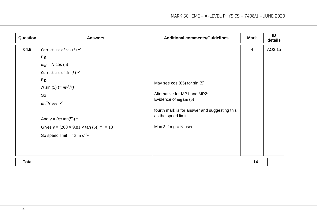| Question     | <b>Answers</b>                                                                                                                                                                                                                                                                                                                    | <b>Additional comments/Guidelines</b>                                                                                                                                                        | <b>Mark</b>    | ID<br>details |
|--------------|-----------------------------------------------------------------------------------------------------------------------------------------------------------------------------------------------------------------------------------------------------------------------------------------------------------------------------------|----------------------------------------------------------------------------------------------------------------------------------------------------------------------------------------------|----------------|---------------|
| 04.5         | Correct use of cos (5) $\checkmark$<br>E.g.<br>$mg = N \cos(5)$<br>Correct use of sin (5) $\checkmark$<br>E.g.<br><i>N</i> sin (5) (= $mv^2/r$ )<br>So<br>$mv^2/r$ seen $\checkmark$<br>And $v = (rg \tan(5))^{\frac{1}{2}}$<br>Gives $v = (200 \times 9.81 \times \tan(5))^{1/2} = 13$<br>So speed limit = $13 \text{ m s}^{-1}$ | May see $cos(85)$ for $sin(5)$<br>Alternative for MP1 and MP2:<br>Evidence of $mg \tan(5)$<br>fourth mark is for answer and suggesting this<br>as the speed limit.<br>Max 3 if $mg = N$ used | $\overline{4}$ | AO3.1a        |
| <b>Total</b> |                                                                                                                                                                                                                                                                                                                                   |                                                                                                                                                                                              | 14             |               |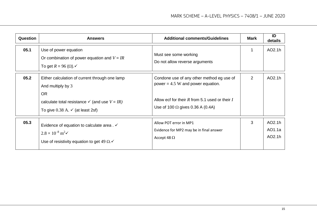| Question | <b>Answers</b>                                                                                                                                                                                   | <b>Additional comments/Guidelines</b>                                                                                                                                             | <b>Mark</b> | ID<br>details              |
|----------|--------------------------------------------------------------------------------------------------------------------------------------------------------------------------------------------------|-----------------------------------------------------------------------------------------------------------------------------------------------------------------------------------|-------------|----------------------------|
| 05.1     | Use of power equation<br>Or combination of power equation and $V = IR$<br>To get $R = 96$ ( $\Omega$ ).                                                                                          | Must see some working<br>Do not allow reverse arguments                                                                                                                           |             | AO2.1h                     |
| 05.2     | Either calculation of current through one lamp<br>And multiply by 3<br><b>OR</b><br>calculate total resistance $\checkmark$ (and use $V = IR$ )<br>To give $0.38$ A. $\checkmark$ (at least 2sf) | Condone use of any other method eg use of<br>power = $4.5$ W and power equation.<br>Allow ecf for their $R$ from 5.1 used or their $I$<br>Use of 100 $\Omega$ gives 0.36 A (0.4A) | 2           | AO2.1h                     |
| 05.3     | Evidence of equation to calculate area. $\checkmark$<br>$2.8 \times 10^{-8} \text{ m}^2\text{V}$<br>Use of resistivity equation to get 49 $\Omega$ .                                             | Allow POT error in MP1<br>Evidence for MP2 may be in final answer<br>Accept 48 $\Omega$                                                                                           | 3           | AO2.1h<br>AO1.1a<br>AO2.1h |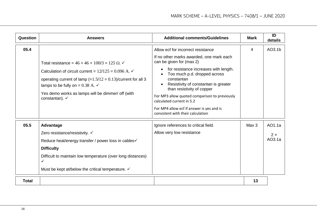| Question     | <b>Answers</b>                                                                                                                                                                                                                                                                                                                 | <b>Additional comments/Guidelines</b>                                                                                                                                                                                                                                                                                                                                                                                                                | <b>Mark</b> | ID<br>details                  |
|--------------|--------------------------------------------------------------------------------------------------------------------------------------------------------------------------------------------------------------------------------------------------------------------------------------------------------------------------------|------------------------------------------------------------------------------------------------------------------------------------------------------------------------------------------------------------------------------------------------------------------------------------------------------------------------------------------------------------------------------------------------------------------------------------------------------|-------------|--------------------------------|
| 05.4         | Total resistance = $46 + 46 + 100/3 = 125 \Omega$ .<br>Calculation of circuit current = $12/125 = 0.096$ A. $\checkmark$<br>operating current of lamp $(=1.5/12 = 0.13)/$ current for all 3<br>lamps to be fully on = $0.38$ A. $\checkmark$<br>Yes demo works as lamps will be dimmer/ off (with<br>constantan). $\checkmark$ | Allow ecf for incorrect resistance<br>If no other marks awarded, one mark each<br>can be given for (max 2)<br>for resistance increases with length.<br>$\bullet$<br>Too much p.d. dropped across<br>constantan<br>Resistivity of constantan is greater<br>than resistivity of copper<br>For MP3 allow quoted comparison to previously<br>calculated current in 5.2<br>For MP4 allow ecf if answer is yes and is<br>consistent with their calculation | 4           | AO3.1b                         |
| 05.5         | Advantage<br>Zero resistance/resistivity. ✓<br>Reduce heat/energy transfer / power loss in cables√<br><b>Difficulty</b><br>Difficult to maintain low temperature (over long distances)<br>$\checkmark$<br>Must be kept at/below the critical temperature. $\checkmark$                                                         | Ignore references to critical field.<br>Allow very low resistance                                                                                                                                                                                                                                                                                                                                                                                    | Max 3       | AO1.1a<br>$2 \times$<br>AO3.1a |
| <b>Total</b> |                                                                                                                                                                                                                                                                                                                                |                                                                                                                                                                                                                                                                                                                                                                                                                                                      | 13          |                                |